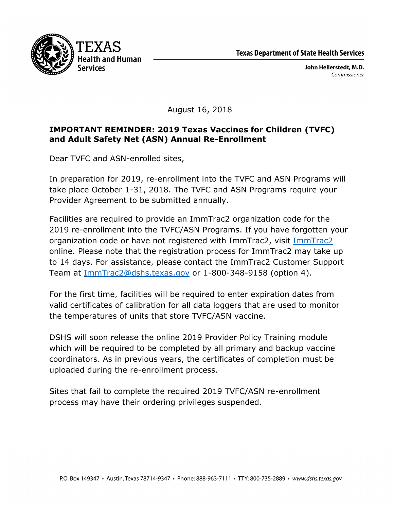

John Hellerstedt, M.D. Commissioner

August 16, 2018

## **IMPORTANT REMINDER: 2019 Texas Vaccines for Children (TVFC) and Adult Safety Net (ASN) Annual Re-Enrollment**

Dear TVFC and ASN-enrolled sites,

In preparation for 2019, re-enrollment into the TVFC and ASN Programs will take place October 1-31, 2018. The TVFC and ASN Programs require your Provider Agreement to be submitted annually.

Facilities are required to provide an ImmTrac2 organization code for the 2019 re-enrollment into the TVFC/ASN Programs. If you have forgotten your organization code or have not registered with ImmTrac2, visit ImmTrac2 online. Please note that the registration process for ImmTrac2 may take up to 14 days. For assistance, please contact the ImmTrac2 Customer Support Team at **ImmTrac2@dshs.texas.gov** or 1-800-348-9158 (option 4).

For the first time, facilities will be required to enter expiration dates from valid certificates of calibration for all data loggers that are used to monitor the temperatures of units that store TVFC/ASN vaccine.

DSHS will soon release the online 2019 Provider Policy Training module which will be required to be completed by all primary and backup vaccine coordinators. As in previous years, the certificates of completion must be uploaded during the re-enrollment process.

Sites that fail to complete the required 2019 TVFC/ASN re-enrollment process may have their ordering privileges suspended.